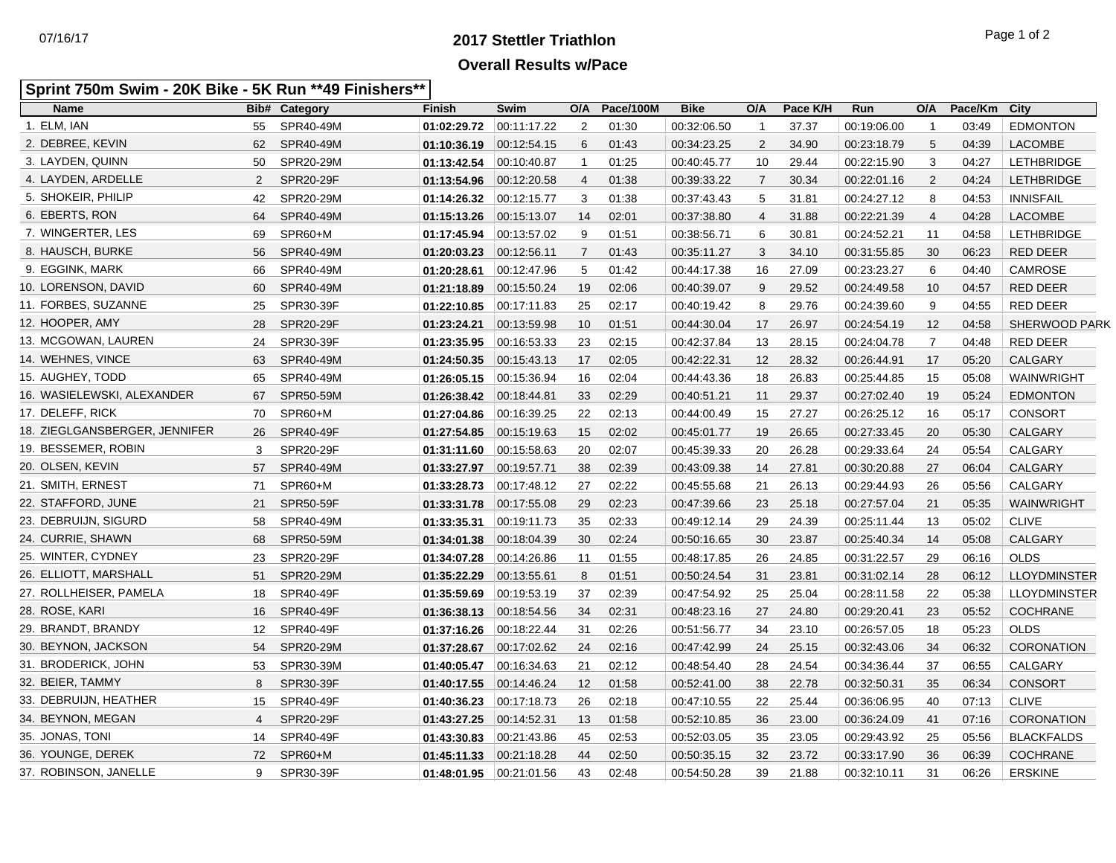## **2017 Stettler Triathlon** 07/16/17 Page 1 of 2 **Overall Results w/Pace**

## **Sprint 750m Swim - 20K Bike - 5K Run \*\*49 Finishers\*\***

| <b>Name</b>                   |    | <b>Bib# Category</b> | <b>Finish</b>             | Swim        | O/A            | Pace/100M | <b>Bike</b> | O/A            | Pace K/H | Run         | O/A            | Pace/Km | City                 |
|-------------------------------|----|----------------------|---------------------------|-------------|----------------|-----------|-------------|----------------|----------|-------------|----------------|---------|----------------------|
| 1. ELM, IAN                   | 55 | SPR40-49M            | 01:02:29.72               | 00:11:17.22 | 2              | 01:30     | 00:32:06.50 | $\mathbf{1}$   | 37.37    | 00:19:06.00 | $\overline{1}$ | 03:49   | <b>EDMONTON</b>      |
| 2. DEBREE, KEVIN              | 62 | SPR40-49M            | 01:10:36.19               | 00:12:54.15 | 6              | 01:43     | 00:34:23.25 | $\overline{2}$ | 34.90    | 00:23:18.79 | 5              | 04:39   | LACOMBE              |
| 3. LAYDEN, QUINN              | 50 | SPR20-29M            | 01:13:42.54               | 00:10:40.87 | $\overline{1}$ | 01:25     | 00:40:45.77 | 10             | 29.44    | 00:22:15.90 | 3              | 04:27   | <b>LETHBRIDGE</b>    |
| 4. LAYDEN, ARDELLE            | 2  | SPR20-29F            | 01:13:54.96               | 00:12:20.58 | $\overline{4}$ | 01:38     | 00:39:33.22 | $\overline{7}$ | 30.34    | 00:22:01.16 | 2              | 04:24   | <b>LETHBRIDGE</b>    |
| 5. SHOKEIR, PHILIP            | 42 | SPR20-29M            | 01:14:26.32               | 00:12:15.77 | 3              | 01:38     | 00:37:43.43 | 5              | 31.81    | 00:24:27.12 | 8              | 04:53   | <b>INNISFAIL</b>     |
| 6. EBERTS, RON                | 64 | SPR40-49M            | 01:15:13.26               | 00.15.13.07 | 14             | 02:01     | 00:37:38.80 | $\overline{4}$ | 31.88    | 00:22:21.39 | $\overline{4}$ | 04:28   | <b>LACOMBE</b>       |
| 7. WINGERTER, LES             | 69 | SPR60+M              | 01:17:45.94               | 00:13:57.02 | 9              | 01:51     | 00:38:56.71 | 6              | 30.81    | 00:24:52.21 | 11             | 04:58   | <b>LETHBRIDGE</b>    |
| 8. HAUSCH, BURKE              | 56 | SPR40-49M            | 01:20:03.23               | 00:12:56.11 | $\overline{7}$ | 01:43     | 00:35:11.27 | 3              | 34.10    | 00:31:55.85 | 30             | 06:23   | RED DEER             |
| 9. EGGINK, MARK               | 66 | SPR40-49M            | 01:20:28.61               | 00:12:47.96 | 5              | 01:42     | 00:44:17.38 | 16             | 27.09    | 00:23:23.27 | 6              | 04:40   | <b>CAMROSE</b>       |
| 10. LORENSON, DAVID           | 60 | SPR40-49M            | 01:21:18.89               | 00:15:50.24 | 19             | 02:06     | 00:40:39.07 | 9              | 29.52    | 00:24:49.58 | 10             | 04:57   | <b>RED DEER</b>      |
| 11. FORBES, SUZANNE           | 25 | SPR30-39F            | 01:22:10.85               | 00:17:11.83 | 25             | 02:17     | 00:40:19.42 | 8              | 29.76    | 00:24:39.60 | 9              | 04:55   | <b>RED DEER</b>      |
| 12. HOOPER, AMY               | 28 | <b>SPR20-29F</b>     | 01:23:24.21               | 00:13:59.98 | 10             | 01:51     | 00:44:30.04 | 17             | 26.97    | 00:24:54.19 | 12             | 04:58   | <b>SHERWOOD PARK</b> |
| 13. MCGOWAN, LAUREN           | 24 | SPR30-39F            | 01:23:35.95               | 00:16:53.33 | 23             | 02:15     | 00:42:37.84 | 13             | 28.15    | 00:24:04.78 | 7              | 04:48   | <b>RED DEER</b>      |
| 14. WEHNES, VINCE             | 63 | SPR40-49M            | 01:24:50.35               | 00:15:43.13 | 17             | 02:05     | 00:42:22.31 | 12             | 28.32    | 00:26:44.91 | 17             | 05:20   | <b>CALGARY</b>       |
| 15. AUGHEY, TODD              | 65 | SPR40-49M            | 01:26:05.15               | 00:15:36.94 | 16             | 02:04     | 00:44:43.36 | 18             | 26.83    | 00:25:44.85 | 15             | 05:08   | WAINWRIGHT           |
| 16. WASIELEWSKI, ALEXANDER    | 67 | SPR50-59M            | $01:26:38.42$ 00:18:44.81 |             | 33             | 02:29     | 00:40:51.21 | 11             | 29.37    | 00:27:02.40 | 19             | 05:24   | <b>EDMONTON</b>      |
| 17. DELEFF, RICK              | 70 | SPR60+M              | 01:27:04.86               | 00:16:39.25 | 22             | 02:13     | 00:44:00.49 | 15             | 27.27    | 00:26:25.12 | 16             | 05:17   | <b>CONSORT</b>       |
| 18. ZIEGLGANSBERGER, JENNIFER | 26 | SPR40-49F            | 01:27:54.85               | 00.15.19.63 | 15             | 02:02     | 00:45:01.77 | 19             | 26.65    | 00:27:33.45 | 20             | 05:30   | <b>CALGARY</b>       |
| 19. BESSEMER, ROBIN           | 3  | SPR20-29F            | 01:31:11.60               | 00.15.58.63 | 20             | 02:07     | 00:45:39.33 | 20             | 26.28    | 00:29:33.64 | 24             | 05:54   | CALGARY              |
| 20. OLSEN, KEVIN              | 57 | SPR40-49M            | 01:33:27.97               | 00:19:57.71 | 38             | 02:39     | 00:43:09.38 | 14             | 27.81    | 00:30:20.88 | 27             | 06:04   | <b>CALGARY</b>       |
| 21. SMITH, ERNEST             | 71 | SPR60+M              | 01:33:28.73               | 00:17:48.12 | 27             | 02:22     | 00:45:55.68 | 21             | 26.13    | 00:29:44.93 | 26             | 05:56   | <b>CALGARY</b>       |
| 22. STAFFORD, JUNE            | 21 | <b>SPR50-59F</b>     | 01:33:31.78               | 00:17:55.08 | 29             | 02:23     | 00:47:39.66 | 23             | 25.18    | 00:27:57.04 | 21             | 05:35   | WAINWRIGHT           |
| 23. DEBRUIJN, SIGURD          | 58 | SPR40-49M            | 01:33:35.31               | 00:19:11.73 | 35             | 02:33     | 00:49:12.14 | 29             | 24.39    | 00:25:11.44 | 13             | 05:02   | <b>CLIVE</b>         |
| 24. CURRIE, SHAWN             | 68 | SPR50-59M            | 01:34:01.38               | 00:18:04.39 | 30             | 02:24     | 00:50:16.65 | 30             | 23.87    | 00:25:40.34 | 14             | 05:08   | <b>CALGARY</b>       |
| 25. WINTER, CYDNEY            | 23 | SPR20-29F            | 01:34:07.28               | 00:14:26.86 | 11             | 01:55     | 00:48:17.85 | 26             | 24.85    | 00:31:22.57 | 29             | 06:16   | <b>OLDS</b>          |
| 26. ELLIOTT, MARSHALL         | 51 | SPR20-29M            | 01:35:22.29               | 00:13:55.61 | 8              | 01:51     | 00:50:24.54 | 31             | 23.81    | 00:31:02.14 | 28             | 06:12   | <b>LLOYDMINSTER</b>  |
| 27. ROLLHEISER, PAMELA        | 18 | SPR40-49F            | 01:35:59.69               | 00:19:53.19 | 37             | 02:39     | 00:47:54.92 | 25             | 25.04    | 00:28:11.58 | 22             | 05:38   | <b>LLOYDMINSTER</b>  |
| 28. ROSE, KARI                | 16 | SPR40-49F            | 01:36:38.13               | 00:18:54.56 | 34             | 02:31     | 00:48:23.16 | 27             | 24.80    | 00:29:20.41 | 23             | 05:52   | <b>COCHRANE</b>      |
| 29. BRANDT, BRANDY            | 12 | SPR40-49F            | 01:37:16.26               | 00.18.22.44 | 31             | 02:26     | 00:51:56.77 | 34             | 23.10    | 00:26:57.05 | 18             | 05:23   | <b>OLDS</b>          |
| 30. BEYNON, JACKSON           | 54 | SPR20-29M            | 01:37:28.67               | 00:17:02.62 | 24             | 02:16     | 00:47:42.99 | 24             | 25.15    | 00:32:43.06 | 34             | 06:32   | CORONATION           |
| 31. BRODERICK, JOHN           | 53 | SPR30-39M            | 01:40:05.47               | 00:16:34.63 | 21             | 02:12     | 00:48:54.40 | 28             | 24.54    | 00:34:36.44 | 37             | 06:55   | CALGARY              |
| 32. BEIER, TAMMY              | 8  | SPR30-39F            | 01:40:17.55 00:14:46.24   |             | 12             | 01:58     | 00:52:41.00 | 38             | 22.78    | 00:32:50.31 | 35             | 06:34   | <b>CONSORT</b>       |
| 33. DEBRUIJN, HEATHER         | 15 | SPR40-49F            | 01:40:36.23               | 00:17:18.73 | 26             | 02:18     | 00:47:10.55 | 22             | 25.44    | 00:36:06.95 | 40             | 07:13   | <b>CLIVE</b>         |
| 34. BEYNON, MEGAN             | 4  | SPR20-29F            | 01:43:27.25               | 00:14:52.31 | 13             | 01:58     | 00:52:10.85 | 36             | 23.00    | 00:36:24.09 | 41             | 07:16   | <b>CORONATION</b>    |
| 35. JONAS, TONI               | 14 | SPR40-49F            | 01:43:30.83               | 00:21:43.86 | 45             | 02:53     | 00:52:03.05 | 35             | 23.05    | 00:29:43.92 | 25             | 05:56   | <b>BLACKFALDS</b>    |
| 36. YOUNGE, DEREK             | 72 | SPR60+M              | 01:45:11.33               | 00:21:18.28 | 44             | 02:50     | 00:50:35.15 | 32             | 23.72    | 00:33:17.90 | 36             | 06:39   | COCHRANE             |
| 37. ROBINSON, JANELLE         | 9  | SPR30-39F            | $01:48:01.95$ 00:21:01.56 |             | 43             | 02:48     | 00:54:50.28 | 39             | 21.88    | 00:32:10.11 | 31             | 06:26   | <b>ERSKINE</b>       |